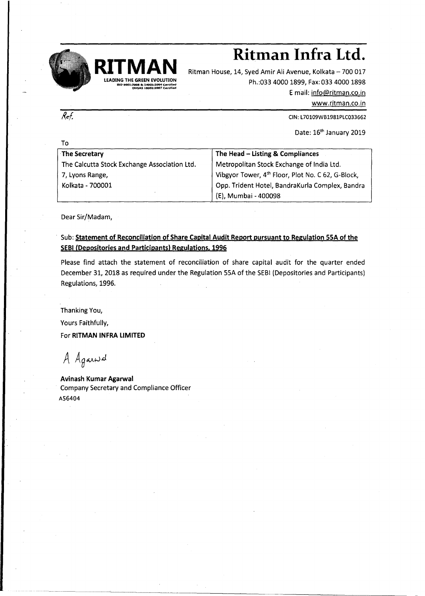

## $R$ **itman Infra** Ltd.

Ritman House, 14, Syed Amir Ali Avenue, Kolkata - 700 017 Ph.:033 4000 1899, Fax:033 4000 1898 Email: [info@ritman.co.in](mailto:info@ritman.co.in)

[www.ritman.co.in](http://www.ritman.co.in)

CIN: L70109WB1981PLCQ33662

Date: 16<sup>th</sup> January 2019

| То                                           |                                                               |
|----------------------------------------------|---------------------------------------------------------------|
| The Secretary                                | The Head - Listing & Compliances                              |
| The Calcutta Stock Exchange Association Ltd. | Metropolitan Stock Exchange of India Ltd.                     |
| 7, Lyons Range,                              | Vibgyor Tower, 4 <sup>th</sup> Floor, Plot No. C 62, G-Block, |
| Kolkata - 700001                             | Opp. Trident Hotel, BandraKurla Complex, Bandra               |
|                                              | (E), Mumbai - 400098                                          |

Dear Sir/Madam,

 $\overline{Ref.}$ 

Sub: Statement of Reconciliation of Share Capital Audit Report pursuant to Regulation 55A of the SEBI(Depositories and Participants) Regulations. 1996

Please find attach the statement of reconciliation of share capital audit for the quarter ended December 31, 2018 as required under the Regulation 55A of the SEBI(Depositories and Participants) Regulations, 1996.

Thanking You,

Yours Faithfully,

For RITMAN INFRA LIMITED

A Againsd

Avinash Kumar Agarwal Company Secretary and Compliance Officer A56404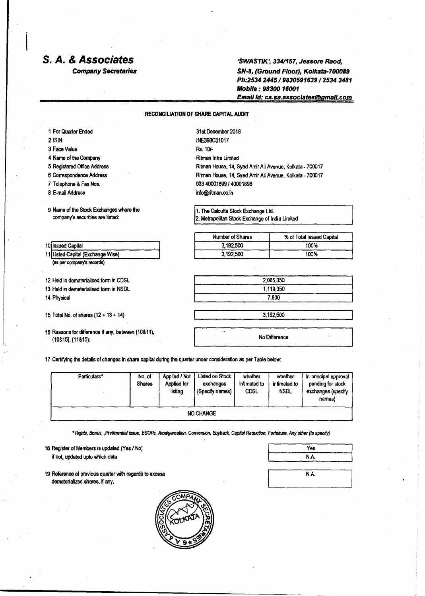## *s. A.& Associates*

*Company Secretaries*

*'SWASTlK',* **334/157, Jessore** *Raod, SN-8, (Ground Floor), Kolkata-700089 Ph:2534 2445/9830591639/2534 3481 Mobile: 98300 16001 Emailld:cs.sa.associatesegmail.com*

## **RECONCILIATION OF SHARE CAPITAL AUDIT**

| 31st December 2018                                       |                                                 |  |  |
|----------------------------------------------------------|-------------------------------------------------|--|--|
| INE393C01017                                             |                                                 |  |  |
| Rs. 10/-                                                 |                                                 |  |  |
| Ritman Infra Limited                                     |                                                 |  |  |
| Ritman House, 14, Syed Amir Ali Avenue, Kolkata - 700017 |                                                 |  |  |
| Ritman House, 14, Syed Amir Ali Avenue, Kolkata - 700017 |                                                 |  |  |
| 033 40001899 / 40001898                                  |                                                 |  |  |
| info@ritman.co.in                                        |                                                 |  |  |
| 1. The Calcutta Stock Exchange Ltd.                      |                                                 |  |  |
|                                                          | 2. Metropolitan Stock Exchange of India Limited |  |  |
| Number of Shares                                         | % of Total Issued Capital                       |  |  |
| 3,192,500                                                | 100%                                            |  |  |
| 3,192,500                                                | 100%                                            |  |  |
|                                                          |                                                 |  |  |
|                                                          | 2.065.350                                       |  |  |
| 1.119.350                                                |                                                 |  |  |
| 7,800                                                    |                                                 |  |  |
| 3,192,500                                                |                                                 |  |  |
| No Difference                                            |                                                 |  |  |
|                                                          |                                                 |  |  |

17 Certifying the details of changes in share capital during the quarter under consideration as per Table below:

| Particulars* | No. of<br><b>Shares</b> | Applied / Not<br>Applied for<br>listing | <b>Listed on Stock</b><br>exchanges<br>(Specify names) | whether<br>intimated to<br><b>CDSL</b> | whether<br>intimated to<br><b>NSDL</b> | In-principal approval<br>pending for stock<br>exchanges (specify<br>names} |
|--------------|-------------------------|-----------------------------------------|--------------------------------------------------------|----------------------------------------|----------------------------------------|----------------------------------------------------------------------------|
| NO CHANGE    |                         |                                         |                                                        |                                        |                                        |                                                                            |

\* Rights, Bonus, , Preferential Issue, ESOPs, Amalgamation, Conversion, Buyback, Capital Reduction, Forfeiture, Any other (to specify)

<sup>18</sup> Register of Members is updated (Yes *I* No) if not, updated upto which date

19 Reference of previous quarter with regards to excess dematerialized shares, if any.



| Yes  |  |
|------|--|
| N.A. |  |

| N.A. |  |
|------|--|
|      |  |